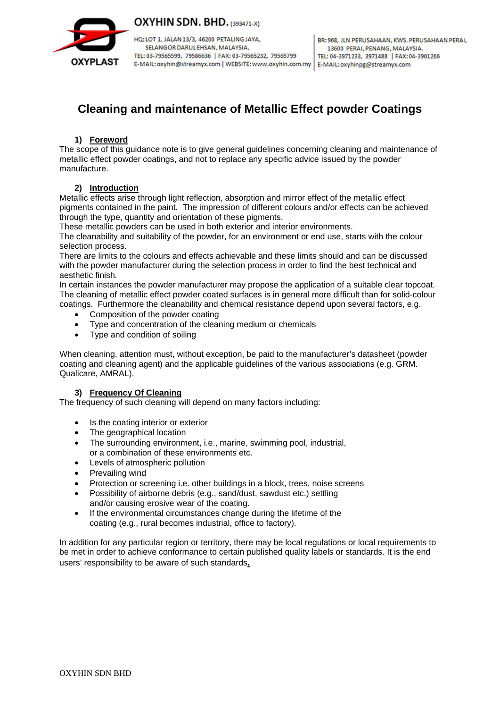

OXYHIN SDN. BHD. (393471-X)

HQ: LOT 1, JALAN 13/3, 46200 PETALING JAYA, SELANGOR DARUL EHSAN, MALAYSIA. TEL: 03-79565599, 79586636 | FAX: 03-79565232, 79565799 E-MAIL: oxyhin@streamyx.com | WEBSITE: www.oxyhin.com.my | E-MAIL: oxyhinpg@streamyx.com

# **Cleaning and maintenance of Metallic Effect powder Coatings**

## **1) Foreword**

The scope of this guidance note is to give general guidelines concerning cleaning and maintenance of metallic effect powder coatings, and not to replace any specific advice issued by the powder manufacture.

## **2) Introduction**

Metallic effects arise through light reflection, absorption and mirror effect of the metallic effect pigments contained in the paint. The impression of different colours and/or effects can be achieved through the type, quantity and orientation of these pigments.

These metallic powders can be used in both exterior and interior environments.

The cleanability and suitability of the powder, for an environment or end use, starts with the colour selection process.

There are limits to the colours and effects achievable and these limits should and can be discussed with the powder manufacturer during the selection process in order to find the best technical and aesthetic finish*.*

In certain instances the powder manufacturer may propose the application of a suitable clear topcoat. The cleaning of metallic effect powder coated surfaces is in general more difficult than for solid-colour coatings. Furthermore the cleanability and chemical resistance depend upon several factors, e.g.

- Composition of the powder coating
- Type and concentration of the cleaning medium or chemicals
- Type and condition of soiling

When cleaning, attention must, without exception, be paid to the manufacturer's datasheet (powder coating and cleaning agent) and the applicable guidelines of the various associations (e.g. GRM. Qualicare, AMRAL).

#### **3) Frequency Of Cleaning**

The frequency of such cleaning will depend on many factors including:

- Is the coating interior or exterior
- The geographical location
- The surrounding environment, i.e., marine, swimming pool, industrial, or a combination of these environments etc.
- Levels of atmospheric pollution
- Prevailing wind
- Protection or screening i.e. other buildings in a block, trees. noise screens
- Possibility of airborne debris (e.g., sand/dust, sawdust etc.) settling and/or causing erosive wear of the coating.
- If the environmental circumstances change during the lifetime of the coating (e.g., rural becomes industrial, office to factory).

In addition for any particular region or territory, there may be local regulations or local requirements to be met in order to achieve conformance to certain published quality labels or standards. It is the end users' responsibility to be aware of such standards**.**